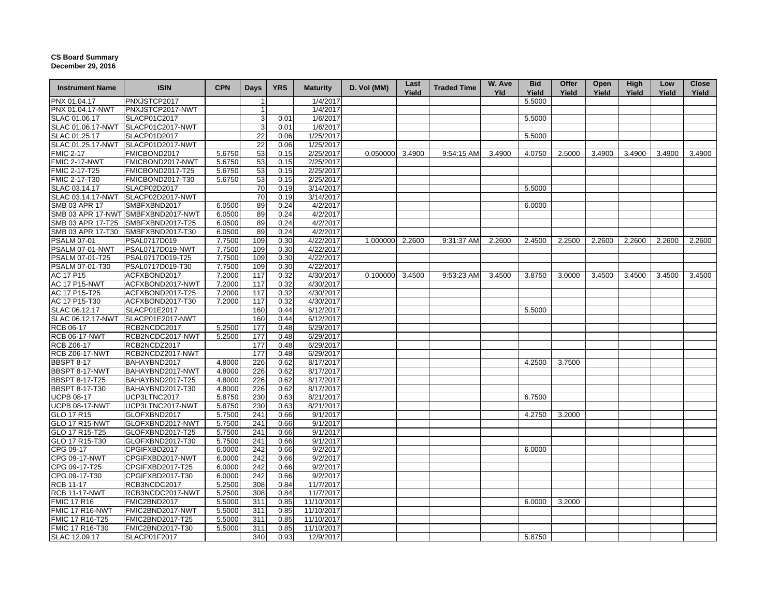## **CS Board Summary December 29, 2016**

| <b>Instrument Name</b>              | <b>ISIN</b>                        | <b>CPN</b>       | <b>Days</b>     | <b>YRS</b>   | <b>Maturity</b>        | D. Vol (MM)     | Last<br>Yield | <b>Traded Time</b> | W. Ave<br><b>Yld</b> | <b>Bid</b><br>Yield | Offer<br>Yield | Open<br>Yield | High<br>Yield | Low<br>Yield | <b>Close</b><br>Yield |
|-------------------------------------|------------------------------------|------------------|-----------------|--------------|------------------------|-----------------|---------------|--------------------|----------------------|---------------------|----------------|---------------|---------------|--------------|-----------------------|
| PNX 01.04.17                        | PNXJSTCP2017                       |                  |                 |              | 1/4/2017               |                 |               |                    |                      | 5.5000              |                |               |               |              |                       |
| PNX 01.04.17-NWT                    | PNXJSTCP2017-NWT                   |                  | $\mathbf{1}$    |              | 1/4/2017               |                 |               |                    |                      |                     |                |               |               |              |                       |
| SLAC 01.06.17                       | SLACP01C2017                       |                  | 3               | 0.01         | 1/6/2017               |                 |               |                    |                      | 5.5000              |                |               |               |              |                       |
| SLAC 01.06.17-NWT                   | SLACP01C2017-NWT                   |                  | 3               | 0.01         | 1/6/2017               |                 |               |                    |                      |                     |                |               |               |              |                       |
| SLAC 01.25.17                       | SLACP01D2017                       |                  | 22              | 0.06         | 1/25/2017              |                 |               |                    |                      | 5.5000              |                |               |               |              |                       |
|                                     | SLAC 01.25.17-NWT SLACP01D2017-NWT |                  | $\overline{22}$ | 0.06         | 1/25/2017              |                 |               |                    |                      |                     |                |               |               |              |                       |
| <b>FMIC 2-17</b>                    | FMICBOND2017                       | 5.6750           | 53              | 0.15         | 2/25/2017              | 0.050000 3.4900 |               | 9:54:15 AM         | 3.4900               | 4.0750              | 2.5000         | 3.4900        | 3.4900        | 3.4900       | 3.4900                |
| <b>FMIC 2-17-NWT</b>                | FMICBOND2017-NWT                   | 5.6750           | 53              | 0.15         | 2/25/2017              |                 |               |                    |                      |                     |                |               |               |              |                       |
| FMIC 2-17-T25                       | FMICBOND2017-T25                   | 5.6750           | 53              | 0.15         | 2/25/2017              |                 |               |                    |                      |                     |                |               |               |              |                       |
| FMIC 2-17-T30                       | FMICBOND2017-T30                   | 5.6750           | 53              | 0.15         | 2/25/2017              |                 |               |                    |                      |                     |                |               |               |              |                       |
| SLAC 03.14.17                       | SLACP02D2017                       |                  | 70              | 0.19         | 3/14/2017              |                 |               |                    |                      | 5.5000              |                |               |               |              |                       |
|                                     | SLAC 03.14.17-NWT SLACP02D2017-NWT |                  | 70              | 0.19         | 3/14/2017              |                 |               |                    |                      |                     |                |               |               |              |                       |
| SMB 03 APR 17                       | SMBFXBND2017                       | 6.0500           | 89              | 0.24         | 4/2/2017               |                 |               |                    |                      | 6.0000              |                |               |               |              |                       |
|                                     | SMB 03 APR 17-NWT SMBFXBND2017-NWT | 6.0500           | 89              | 0.24         | 4/2/2017               |                 |               |                    |                      |                     |                |               |               |              |                       |
|                                     | SMB 03 APR 17-T25 SMBFXBND2017-T25 | 6.0500           | 89              | 0.24         | 4/2/2017               |                 |               |                    |                      |                     |                |               |               |              |                       |
| SMB 03 APR 17-T30                   | SMBFXBND2017-T30                   | 6.0500           | 89              | 0.24         | 4/2/2017               |                 |               |                    |                      |                     |                |               |               |              |                       |
| <b>PSALM 07-01</b>                  | PSAL0717D019                       | 7.7500           | 109             | 0.30         | 4/22/2017              | 1.000000 2.2600 |               | 9:31:37 AM         | 2.2600               | 2.4500              | 2.2500         | 2.2600        | 2.2600        | 2.2600       | 2.2600                |
| PSALM 07-01-NWT                     | PSAL0717D019-NWT                   | 7.7500           | 109             | 0.30         | 4/22/2017              |                 |               |                    |                      |                     |                |               |               |              |                       |
| PSALM 07-01-T25                     | PSAL0717D019-T25                   | 7.7500           | 109             | 0.30         | 4/22/2017              |                 |               |                    |                      |                     |                |               |               |              |                       |
| PSALM 07-01-T30                     | PSAL0717D019-T30                   | 7.7500           | 109             | 0.30         | 4/22/2017              |                 |               |                    |                      |                     |                |               |               |              |                       |
| AC 17 P15                           | ACFXBOND2017                       | 7.2000           | 117             | 0.32         | 4/30/2017              | 0.100000 3.4500 |               | 9:53:23 AM         | 3.4500               | 3.8750              | 3.0000         | 3.4500        | 3.4500        | 3.4500       | 3.4500                |
| <b>AC 17 P15-NWT</b>                | ACFXBOND2017-NWT                   | 7.2000           | 117             | 0.32         | 4/30/2017              |                 |               |                    |                      |                     |                |               |               |              |                       |
| AC 17 P15-T25                       | ACFXBOND2017-T25                   | 7.2000           | 117             | 0.32         | 4/30/2017              |                 |               |                    |                      |                     |                |               |               |              |                       |
| AC 17 P15-T30                       | ACFXBOND2017-T30                   | 7.2000           | 117             | 0.32         | 4/30/2017              |                 |               |                    |                      |                     |                |               |               |              |                       |
| SLAC 06.12.17                       | SLACP01E2017                       |                  | 160             | 0.44         | 6/12/2017              |                 |               |                    |                      | 5.5000              |                |               |               |              |                       |
| SLAC 06.12.17-NWT                   | SLACP01E2017-NWT                   |                  | 160             | 0.44         | 6/12/2017              |                 |               |                    |                      |                     |                |               |               |              |                       |
| RCB 06-17                           | RCB2NCDC2017                       | 5.2500           | 177             | 0.48         | 6/29/2017              |                 |               |                    |                      |                     |                |               |               |              |                       |
| <b>RCB 06-17-NWT</b>                | RCB2NCDC2017-NWT                   | 5.2500           | 177             | 0.48         | 6/29/2017              |                 |               |                    |                      |                     |                |               |               |              |                       |
| <b>RCB Z06-17</b>                   | RCB2NCDZ2017                       |                  | 177             | 0.48         | 6/29/2017              |                 |               |                    |                      |                     |                |               |               |              |                       |
| <b>RCB Z06-17-NWT</b>               | RCB2NCDZ2017-NWT                   |                  | 177             | 0.48         | 6/29/2017              |                 |               |                    |                      |                     |                |               |               |              |                       |
| <b>BBSPT 8-17</b>                   | BAHAYBND2017                       | 4.8000           | 226             | 0.62         | 8/17/2017              |                 |               |                    |                      | 4.2500              | 3.7500         |               |               |              |                       |
| BBSPT 8-17-NWT                      | BAHAYBND2017-NWT                   | 4.8000           | 226             | 0.62         | 8/17/2017              |                 |               |                    |                      |                     |                |               |               |              |                       |
| <b>BBSPT 8-17-T25</b>               | BAHAYBND2017-T25                   | 4.8000           | 226             | 0.62         | 8/17/2017              |                 |               |                    |                      |                     |                |               |               |              |                       |
| <b>BBSPT 8-17-T30</b>               | BAHAYBND2017-T30                   | 4.8000           | 226             | 0.62         | 8/17/2017              |                 |               |                    |                      |                     |                |               |               |              |                       |
|                                     | UCP3LTNC2017                       |                  |                 |              |                        |                 |               |                    |                      |                     |                |               |               |              |                       |
| <b>UCPB 08-17</b>                   | UCP3LTNC2017-NWT                   | 5.8750<br>5.8750 | 230             | 0.63<br>0.63 | 8/21/2017<br>8/21/2017 |                 |               |                    |                      | 6.7500              |                |               |               |              |                       |
| <b>UCPB 08-17-NWT</b><br>GLO 17 R15 | GLOFXBND2017                       | 5.7500           | 230<br>241      | 0.66         | 9/1/2017               |                 |               |                    |                      | 4.2750              | 3.2000         |               |               |              |                       |
|                                     |                                    |                  |                 |              | 9/1/2017               |                 |               |                    |                      |                     |                |               |               |              |                       |
| <b>GLO 17 R15-NWT</b>               | GLOFXBND2017-NWT                   | 5.7500           | 241             | 0.66         |                        |                 |               |                    |                      |                     |                |               |               |              |                       |
| GLO 17 R15-T25                      | GLOFXBND2017-T25                   | 5.7500           | 241             | 0.66         | 9/1/2017<br>9/1/2017   |                 |               |                    |                      |                     |                |               |               |              |                       |
| GLO 17 R15-T30                      | GLOFXBND2017-T30                   | 5.7500           | 241             | 0.66         |                        |                 |               |                    |                      |                     |                |               |               |              |                       |
| CPG 09-17                           | CPGIFXBD2017                       | 6.0000           | 242             | 0.66         | 9/2/2017               |                 |               |                    |                      | 6.0000              |                |               |               |              |                       |
| CPG 09-17-NWT                       | CPGIFXBD2017-NWT                   | 6.0000           | 242             | 0.66         | 9/2/2017               |                 |               |                    |                      |                     |                |               |               |              |                       |
| CPG 09-17-T25                       | CPGIFXBD2017-T25                   | 6.0000           | 242             | 0.66         | 9/2/2017               |                 |               |                    |                      |                     |                |               |               |              |                       |
| CPG 09-17-T30                       | CPGIFXBD2017-T30                   | 6.0000           | 242             | 0.66         | 9/2/2017               |                 |               |                    |                      |                     |                |               |               |              |                       |
| <b>RCB 11-17</b>                    | RCB3NCDC2017                       | 5.2500           | 308             | 0.84         | 11/7/2017              |                 |               |                    |                      |                     |                |               |               |              |                       |
| <b>RCB 11-17-NWT</b>                | RCB3NCDC2017-NWT                   | 5.2500           | 308             | 0.84         | 11/7/2017              |                 |               |                    |                      |                     |                |               |               |              |                       |
| <b>FMIC 17 R16</b>                  | FMIC2BND2017                       | 5.5000           | 311             | 0.85         | 11/10/2017             |                 |               |                    |                      | 6.0000              | 3.2000         |               |               |              |                       |
| <b>FMIC 17 R16-NWT</b>              | FMIC2BND2017-NWT                   | 5.5000           | 311             | 0.85         | 11/10/2017             |                 |               |                    |                      |                     |                |               |               |              |                       |
| FMIC 17 R16-T25                     | FMIC2BND2017-T25                   | 5.5000           | 311             | 0.85         | 11/10/2017             |                 |               |                    |                      |                     |                |               |               |              |                       |
| FMIC 17 R16-T30                     | FMIC2BND2017-T30                   | 5.5000           | 311             | 0.85         | 11/10/2017             |                 |               |                    |                      |                     |                |               |               |              |                       |
| SLAC 12.09.17                       | SLACP01F2017                       |                  | 340             | 0.93         | 12/9/2017              |                 |               |                    |                      | 5.8750              |                |               |               |              |                       |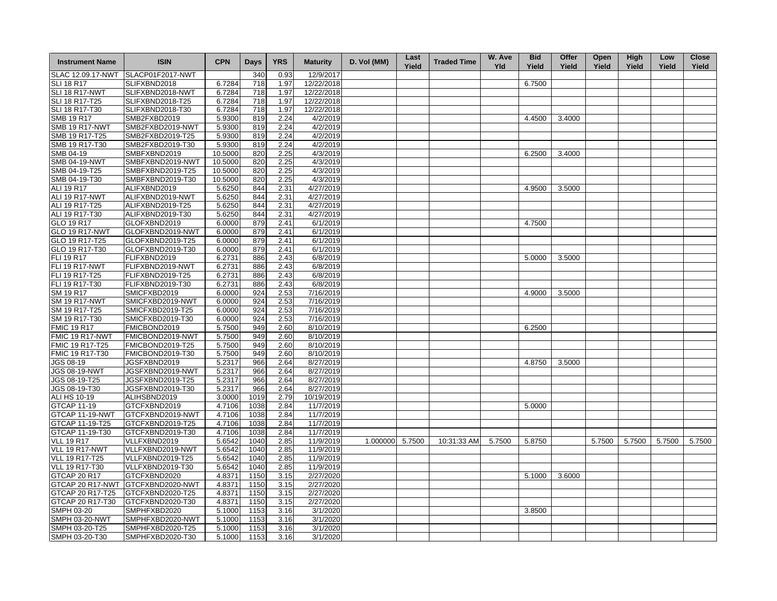| <b>Instrument Name</b>           | <b>ISIN</b>                          | <b>CPN</b> | <b>Days</b> | <b>YRS</b> | <b>Maturity</b> | D. Vol (MM) | Last<br>Yield | <b>Traded Time</b> | W. Ave<br><b>Yld</b> | <b>Bid</b><br>Yield | Offer<br>Yield | Open<br>Yield | <b>High</b><br>Yield | Low<br>Yield | <b>Close</b><br>Yield |
|----------------------------------|--------------------------------------|------------|-------------|------------|-----------------|-------------|---------------|--------------------|----------------------|---------------------|----------------|---------------|----------------------|--------------|-----------------------|
| SLAC 12.09.17-NWT                | SLACP01F2017-NWT                     |            | 340         | 0.93       | 12/9/2017       |             |               |                    |                      |                     |                |               |                      |              |                       |
| <b>SLI 18 R17</b>                | SLIFXBND2018                         | 6.7284     | 718         | 1.97       | 12/22/2018      |             |               |                    |                      | 6.7500              |                |               |                      |              |                       |
| SLI 18 R17-NWT                   | SLIFXBND2018-NWT                     | 6.7284     | 718         | 1.97       | 12/22/2018      |             |               |                    |                      |                     |                |               |                      |              |                       |
| SLI 18 R17-T25                   | SLIFXBND2018-T25                     | 6.7284     | 718         | 1.97       | 12/22/2018      |             |               |                    |                      |                     |                |               |                      |              |                       |
| SLI 18 R17-T30                   | SLIFXBND2018-T30                     | 6.7284     | 718         | 1.97       | 12/22/2018      |             |               |                    |                      |                     |                |               |                      |              |                       |
| <b>SMB 19 R17</b>                | SMB2FXBD2019                         | 5.9300     | 819         | 2.24       | 4/2/2019        |             |               |                    |                      | 4.4500              | 3.4000         |               |                      |              |                       |
| <b>SMB 19 R17-NWT</b>            | SMB2FXBD2019-NWT                     | 5.9300     | 819         | 2.24       | 4/2/2019        |             |               |                    |                      |                     |                |               |                      |              |                       |
| SMB 19 R17-T25                   | SMB2FXBD2019-T25                     | 5.9300     | 819         | 2.24       | 4/2/2019        |             |               |                    |                      |                     |                |               |                      |              |                       |
| SMB 19 R17-T30                   | SMB2FXBD2019-T30                     | 5.9300     | 819         | 2.24       | 4/2/2019        |             |               |                    |                      |                     |                |               |                      |              |                       |
| SMB 04-19                        | SMBFXBND2019                         | 10.5000    | 820         | 2.25       | 4/3/2019        |             |               |                    |                      | 6.2500              | 3.4000         |               |                      |              |                       |
| SMB 04-19-NWT                    | SMBFXBND2019-NWT                     | 10.5000    | 820         | 2.25       | 4/3/2019        |             |               |                    |                      |                     |                |               |                      |              |                       |
| SMB 04-19-T25                    | SMBFXBND2019-T25                     | 10.5000    | 820         | 2.25       | 4/3/2019        |             |               |                    |                      |                     |                |               |                      |              |                       |
| SMB 04-19-T30                    | SMBFXBND2019-T30                     | 10.5000    | 820         | 2.25       | 4/3/2019        |             |               |                    |                      |                     |                |               |                      |              |                       |
| ALI 19 R17                       | ALIFXBND2019                         | 5.6250     | 844         | 2.31       | 4/27/2019       |             |               |                    |                      | 4.9500              |                |               |                      |              |                       |
|                                  |                                      | 5.6250     |             |            | 4/27/2019       |             |               |                    |                      |                     | 3.5000         |               |                      |              |                       |
| ALI 19 R17-NWT<br>ALI 19 R17-T25 | ALIFXBND2019-NWT<br>ALIFXBND2019-T25 |            | 844<br>844  | 2.31       | 4/27/2019       |             |               |                    |                      |                     |                |               |                      |              |                       |
|                                  |                                      | 5.6250     |             | 2.31       |                 |             |               |                    |                      |                     |                |               |                      |              |                       |
| ALI 19 R17-T30                   | ALIFXBND2019-T30                     | 5.6250     | 844         | 2.31       | 4/27/2019       |             |               |                    |                      |                     |                |               |                      |              |                       |
| GLO 19 R17                       | GLOFXBND2019                         | 6.0000     | 879         | 2.41       | 6/1/2019        |             |               |                    |                      | 4.7500              |                |               |                      |              |                       |
| GLO 19 R17-NWT                   | GLOFXBND2019-NWT                     | 6.0000     | 879         | 2.41       | 6/1/2019        |             |               |                    |                      |                     |                |               |                      |              |                       |
| GLO 19 R17-T25                   | GLOFXBND2019-T25                     | 6.0000     | 879         | 2.41       | 6/1/2019        |             |               |                    |                      |                     |                |               |                      |              |                       |
| GLO 19 R17-T30                   | GLOFXBND2019-T30                     | 6.0000     | 879         | 2.41       | 6/1/2019        |             |               |                    |                      |                     |                |               |                      |              |                       |
| <b>FLI 19 R17</b>                | FLIFXBND2019                         | 6.2731     | 886         | 2.43       | 6/8/2019        |             |               |                    |                      | 5.0000              | 3.5000         |               |                      |              |                       |
| <b>FLI 19 R17-NWT</b>            | FLIFXBND2019-NWT                     | 6.2731     | 886         | 2.43       | 6/8/2019        |             |               |                    |                      |                     |                |               |                      |              |                       |
| FLI 19 R17-T25                   | FLIFXBND2019-T25                     | 6.2731     | 886         | 2.43       | 6/8/2019        |             |               |                    |                      |                     |                |               |                      |              |                       |
| FLI 19 R17-T30                   | FLIFXBND2019-T30                     | 6.2731     | 886         | 2.43       | 6/8/2019        |             |               |                    |                      |                     |                |               |                      |              |                       |
| SM 19 R17                        | SMICFXBD2019                         | 6.0000     | 924         | 2.53       | 7/16/2019       |             |               |                    |                      | 4.9000              | 3.5000         |               |                      |              |                       |
| <b>SM 19 R17-NWT</b>             | SMICFXBD2019-NWT                     | 6.0000     | 924         | 2.53       | 7/16/2019       |             |               |                    |                      |                     |                |               |                      |              |                       |
| SM 19 R17-T25                    | SMICFXBD2019-T25                     | 6.0000     | 924         | 2.53       | 7/16/2019       |             |               |                    |                      |                     |                |               |                      |              |                       |
| SM 19 R17-T30                    | SMICFXBD2019-T30                     | 6.0000     | 924         | 2.53       | 7/16/2019       |             |               |                    |                      |                     |                |               |                      |              |                       |
| <b>FMIC 19 R17</b>               | FMICBOND2019                         | 5.7500     | 949         | 2.60       | 8/10/2019       |             |               |                    |                      | 6.2500              |                |               |                      |              |                       |
| FMIC 19 R17-NWT                  | FMICBOND2019-NWT                     | 5.7500     | 949         | 2.60       | 8/10/2019       |             |               |                    |                      |                     |                |               |                      |              |                       |
| FMIC 19 R17-T25                  | FMICBOND2019-T25                     | 5.7500     | 949         | 2.60       | 8/10/2019       |             |               |                    |                      |                     |                |               |                      |              |                       |
| FMIC 19 R17-T30                  | FMICBOND2019-T30                     | 5.7500     | 949         | 2.60       | 8/10/2019       |             |               |                    |                      |                     |                |               |                      |              |                       |
| JGS 08-19                        | JGSFXBND2019                         | 5.2317     | 966         | 2.64       | 8/27/2019       |             |               |                    |                      | 4.8750              | 3.5000         |               |                      |              |                       |
| <b>JGS 08-19-NWT</b>             | JGSFXBND2019-NWT                     | 5.2317     | 966         | 2.64       | 8/27/2019       |             |               |                    |                      |                     |                |               |                      |              |                       |
| JGS 08-19-T25                    | JGSFXBND2019-T25                     | 5.2317     | 966         | 2.64       | 8/27/2019       |             |               |                    |                      |                     |                |               |                      |              |                       |
| JGS 08-19-T30                    | JGSFXBND2019-T30                     | 5.2317     | 966         | 2.64       | 8/27/2019       |             |               |                    |                      |                     |                |               |                      |              |                       |
| <b>ALI HS 10-19</b>              | ALIHSBND2019                         | 3.0000     | 1019        | 2.79       | 10/19/2019      |             |               |                    |                      |                     |                |               |                      |              |                       |
| <b>GTCAP 11-19</b>               | GTCFXBND2019                         | 4.7106     | 1038        | 2.84       | 11/7/2019       |             |               |                    |                      | 5.0000              |                |               |                      |              |                       |
| GTCAP 11-19-NWT                  | GTCFXBND2019-NWT                     | 4.7106     | 1038        | 2.84       | 11/7/2019       |             |               |                    |                      |                     |                |               |                      |              |                       |
| GTCAP 11-19-T25                  | GTCFXBND2019-T25                     | 4.7106     | 1038        | 2.84       | 11/7/2019       |             |               |                    |                      |                     |                |               |                      |              |                       |
| GTCAP 11-19-T30                  | GTCFXBND2019-T30                     | 4.7106     | 1038        | 2.84       | 11/7/2019       |             |               |                    |                      |                     |                |               |                      |              |                       |
| <b>VLL 19 R17</b>                | VLLFXBND2019                         | 5.6542     | 1040        | 2.85       | 11/9/2019       | 1.000000    | 5.7500        | 10:31:33 AM        | 5.7500               | 5.8750              |                | 5.7500        | 5.7500               | 5.7500       | 5.7500                |
| VLL 19 R17-NWT                   | VLLFXBND2019-NWT                     | 5.6542     | 1040        | 2.85       | 11/9/2019       |             |               |                    |                      |                     |                |               |                      |              |                       |
| <b>VLL 19 R17-T25</b>            | VLLFXBND2019-T25                     |            | 1040        |            | 11/9/2019       |             |               |                    |                      |                     |                |               |                      |              |                       |
|                                  |                                      | 5.6542     | 1040        | 2.85       |                 |             |               |                    |                      |                     |                |               |                      |              |                       |
| VLL 19 R17-T30                   | VLLFXBND2019-T30                     | 5.6542     |             | 2.85       | 11/9/2019       |             |               |                    |                      |                     |                |               |                      |              |                       |
| <b>GTCAP 20 R17</b>              | GTCFXBND2020                         | 4.8371     | 1150        | 3.15       | 2/27/2020       |             |               |                    |                      | 5.1000              | 3.6000         |               |                      |              |                       |
| GTCAP 20 R17-NWT                 | GTCFXBND2020-NWT                     | 4.8371     | 1150        | 3.15       | 2/27/2020       |             |               |                    |                      |                     |                |               |                      |              |                       |
| GTCAP 20 R17-T25                 | GTCFXBND2020-T25                     | 4.8371     | 1150        | 3.15       | 2/27/2020       |             |               |                    |                      |                     |                |               |                      |              |                       |
| GTCAP 20 R17-T30                 | GTCFXBND2020-T30                     | 4.8371     | 1150        | 3.15       | 2/27/2020       |             |               |                    |                      |                     |                |               |                      |              |                       |
| <b>SMPH 03-20</b>                | SMPHFXBD2020                         | 5.1000     | 1153        | 3.16       | 3/1/2020        |             |               |                    |                      | 3.8500              |                |               |                      |              |                       |
| <b>SMPH 03-20-NWT</b>            | SMPHFXBD2020-NWT                     | 5.1000     | 1153        | 3.16       | 3/1/2020        |             |               |                    |                      |                     |                |               |                      |              |                       |
| SMPH 03-20-T25                   | SMPHFXBD2020-T25                     | 5.1000     | 1153        | 3.16       | 3/1/2020        |             |               |                    |                      |                     |                |               |                      |              |                       |
| SMPH 03-20-T30                   | SMPHFXBD2020-T30                     | 5.1000     | 1153        | 3.16       | 3/1/2020        |             |               |                    |                      |                     |                |               |                      |              |                       |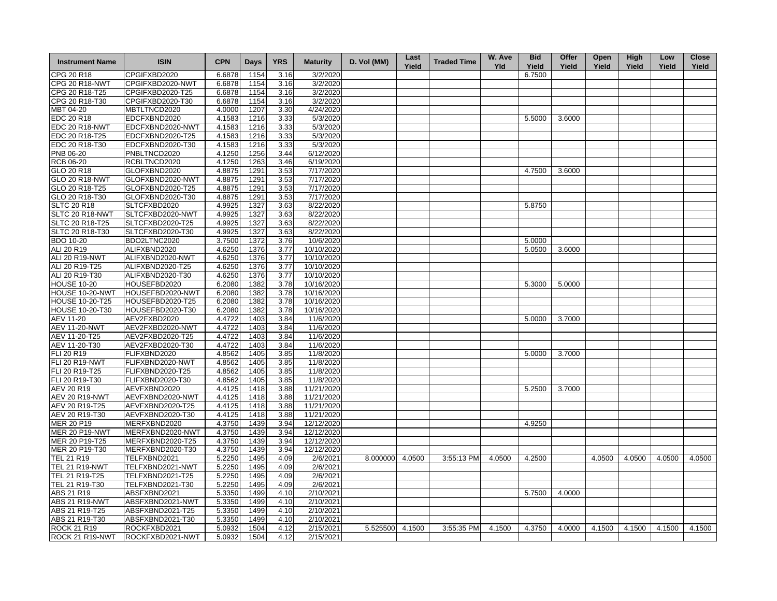| <b>Instrument Name</b> | <b>ISIN</b>      | <b>CPN</b> | <b>Days</b> | <b>YRS</b> | <b>Maturity</b> | D. Vol (MM)     | Last<br>Yield | <b>Traded Time</b> | W. Ave<br><b>Yld</b> | <b>Bid</b><br>Yield | Offer<br>Yield | Open<br>Yield | <b>High</b><br>Yield | Low<br>Yield | <b>Close</b><br>Yield |
|------------------------|------------------|------------|-------------|------------|-----------------|-----------------|---------------|--------------------|----------------------|---------------------|----------------|---------------|----------------------|--------------|-----------------------|
| CPG 20 R18             | CPGIFXBD2020     | 6.6878     | 1154        | 3.16       | 3/2/2020        |                 |               |                    |                      | 6.7500              |                |               |                      |              |                       |
| CPG 20 R18-NWT         | CPGIFXBD2020-NWT | 6.6878     | 1154        | 3.16       | 3/2/2020        |                 |               |                    |                      |                     |                |               |                      |              |                       |
| CPG 20 R18-T25         | CPGIFXBD2020-T25 | 6.6878     | 1154        | 3.16       | 3/2/2020        |                 |               |                    |                      |                     |                |               |                      |              |                       |
| CPG 20 R18-T30         | CPGIFXBD2020-T30 | 6.6878     | 1154        | 3.16       | 3/2/2020        |                 |               |                    |                      |                     |                |               |                      |              |                       |
| MBT 04-20              | MBTLTNCD2020     | 4.0000     | 1207        | 3.30       | 4/24/2020       |                 |               |                    |                      |                     |                |               |                      |              |                       |
| EDC 20 R18             | EDCFXBND2020     | 4.1583     | 1216        | 3.33       | 5/3/2020        |                 |               |                    |                      | 5.5000              | 3.6000         |               |                      |              |                       |
| EDC 20 R18-NWT         | EDCFXBND2020-NWT | 4.1583     | 1216        | 3.33       | 5/3/2020        |                 |               |                    |                      |                     |                |               |                      |              |                       |
| EDC 20 R18-T25         | EDCFXBND2020-T25 | 4.1583     | 1216        | 3.33       | 5/3/2020        |                 |               |                    |                      |                     |                |               |                      |              |                       |
| EDC 20 R18-T30         | EDCFXBND2020-T30 | 4.1583     | 1216        | 3.33       | 5/3/2020        |                 |               |                    |                      |                     |                |               |                      |              |                       |
| <b>PNB 06-20</b>       | PNBLTNCD2020     | 4.1250     | 1256        | 3.44       | 6/12/2020       |                 |               |                    |                      |                     |                |               |                      |              |                       |
| RCB 06-20              | RCBLTNCD2020     | 4.1250     | 1263        | 3.46       | 6/19/2020       |                 |               |                    |                      |                     |                |               |                      |              |                       |
| GLO 20 R18             | GLOFXBND2020     | 4.8875     | 1291        | 3.53       | 7/17/2020       |                 |               |                    |                      | 4.7500              | 3.6000         |               |                      |              |                       |
| <b>GLO 20 R18-NWT</b>  | GLOFXBND2020-NWT | 4.8875     | 1291        | 3.53       | 7/17/2020       |                 |               |                    |                      |                     |                |               |                      |              |                       |
| GLO 20 R18-T25         | GLOFXBND2020-T25 | 4.8875     | 1291        | 3.53       | 7/17/2020       |                 |               |                    |                      |                     |                |               |                      |              |                       |
| GLO 20 R18-T30         | GLOFXBND2020-T30 | 4.8875     | 1291        | 3.53       | 7/17/2020       |                 |               |                    |                      |                     |                |               |                      |              |                       |
| <b>SLTC 20 R18</b>     | SLTCFXBD2020     | 4.9925     | 1327        | 3.63       | 8/22/2020       |                 |               |                    |                      | 5.8750              |                |               |                      |              |                       |
| SLTC 20 R18-NWT        | SLTCFXBD2020-NWT | 4.9925     | 1327        | 3.63       | 8/22/2020       |                 |               |                    |                      |                     |                |               |                      |              |                       |
| SLTC 20 R18-T25        | SLTCFXBD2020-T25 | 4.9925     | 1327        | 3.63       | 8/22/2020       |                 |               |                    |                      |                     |                |               |                      |              |                       |
| SLTC 20 R18-T30        | SLTCFXBD2020-T30 | 4.9925     | 1327        | 3.63       | 8/22/2020       |                 |               |                    |                      |                     |                |               |                      |              |                       |
| <b>BDO 10-20</b>       | BDO2LTNC2020     | 3.7500     | 1372        | 3.76       | 10/6/2020       |                 |               |                    |                      | 5.0000              |                |               |                      |              |                       |
| ALI 20 R19             | ALIFXBND2020     | 4.6250     | 1376        | 3.77       | 10/10/2020      |                 |               |                    |                      |                     | 3.6000         |               |                      |              |                       |
|                        |                  |            |             |            |                 |                 |               |                    |                      | 5.0500              |                |               |                      |              |                       |
| ALI 20 R19-NWT         | ALIFXBND2020-NWT | 4.6250     | 1376        | 3.77       | 10/10/2020      |                 |               |                    |                      |                     |                |               |                      |              |                       |
| ALI 20 R19-T25         | ALIFXBND2020-T25 | 4.6250     | 1376        | 3.77       | 10/10/2020      |                 |               |                    |                      |                     |                |               |                      |              |                       |
| ALI 20 R19-T30         | ALIFXBND2020-T30 | 4.6250     | 1376        | 3.77       | 10/10/2020      |                 |               |                    |                      |                     |                |               |                      |              |                       |
| <b>HOUSE 10-20</b>     | HOUSEFBD2020     | 6.2080     | 1382        | 3.78       | 10/16/2020      |                 |               |                    |                      | 5.3000              | 5.0000         |               |                      |              |                       |
| HOUSE 10-20-NWT        | HOUSEFBD2020-NWT | 6.2080     | 1382        | 3.78       | 10/16/2020      |                 |               |                    |                      |                     |                |               |                      |              |                       |
| <b>HOUSE 10-20-T25</b> | HOUSEFBD2020-T25 | 6.2080     | 1382        | 3.78       | 10/16/2020      |                 |               |                    |                      |                     |                |               |                      |              |                       |
| HOUSE 10-20-T30        | HOUSEFBD2020-T30 | 6.2080     | 1382        | 3.78       | 10/16/2020      |                 |               |                    |                      |                     |                |               |                      |              |                       |
| AEV 11-20              | AEV2FXBD2020     | 4.4722     | 1403        | 3.84       | 11/6/2020       |                 |               |                    |                      | 5.0000              | 3.7000         |               |                      |              |                       |
| <b>AEV 11-20-NWT</b>   | AEV2FXBD2020-NWT | 4.4722     | 1403        | 3.84       | 11/6/2020       |                 |               |                    |                      |                     |                |               |                      |              |                       |
| AEV 11-20-T25          | AEV2FXBD2020-T25 | 4.4722     | 1403        | 3.84       | 11/6/2020       |                 |               |                    |                      |                     |                |               |                      |              |                       |
| AEV 11-20-T30          | AEV2FXBD2020-T30 | 4.4722     | 1403        | 3.84       | 11/6/2020       |                 |               |                    |                      |                     |                |               |                      |              |                       |
| FLI 20 R19             | FLIFXBND2020     | 4.8562     | 1405        | 3.85       | 11/8/2020       |                 |               |                    |                      | 5.0000              | 3.7000         |               |                      |              |                       |
| <b>FLI 20 R19-NWT</b>  | FLIFXBND2020-NWT | 4.8562     | 1405        | 3.85       | 11/8/2020       |                 |               |                    |                      |                     |                |               |                      |              |                       |
| FLI 20 R19-T25         | FLIFXBND2020-T25 | 4.8562     | 1405        | 3.85       | 11/8/2020       |                 |               |                    |                      |                     |                |               |                      |              |                       |
| FLI 20 R19-T30         | FLIFXBND2020-T30 | 4.8562     | 1405        | 3.85       | 11/8/2020       |                 |               |                    |                      |                     |                |               |                      |              |                       |
| <b>AEV 20 R19</b>      | AEVFXBND2020     | 4.4125     | 1418        | 3.88       | 11/21/2020      |                 |               |                    |                      | 5.2500              | 3.7000         |               |                      |              |                       |
| AEV 20 R19-NWT         | AEVFXBND2020-NWT | 4.4125     | 1418        | 3.88       | 11/21/2020      |                 |               |                    |                      |                     |                |               |                      |              |                       |
| AEV 20 R19-T25         | AEVFXBND2020-T25 | 4.4125     | 1418        | 3.88       | 11/21/2020      |                 |               |                    |                      |                     |                |               |                      |              |                       |
| AEV 20 R19-T30         | AEVFXBND2020-T30 | 4.4125     | 1418        | 3.88       | 11/21/2020      |                 |               |                    |                      |                     |                |               |                      |              |                       |
| <b>MER 20 P19</b>      | MERFXBND2020     | 4.3750     | 1439        | 3.94       | 12/12/2020      |                 |               |                    |                      | 4.9250              |                |               |                      |              |                       |
| <b>MER 20 P19-NWT</b>  | MERFXBND2020-NWT | 4.3750     | 1439        | 3.94       | 12/12/2020      |                 |               |                    |                      |                     |                |               |                      |              |                       |
| MER 20 P19-T25         | MERFXBND2020-T25 | 4.3750     | 1439        | 3.94       | 12/12/2020      |                 |               |                    |                      |                     |                |               |                      |              |                       |
| MER 20 P19-T30         | MERFXBND2020-T30 | 4.3750     | 1439        | 3.94       | 12/12/2020      |                 |               |                    |                      |                     |                |               |                      |              |                       |
| TEL 21 R19             | TELFXBND2021     | 5.2250     | 1495        | 4.09       | 2/6/2021        | 8.000000 4.0500 |               | 3:55:13 PM         | 4.0500               | 4.2500              |                | 4.0500        | 4.0500               | 4.0500       | 4.0500                |
| <b>TEL 21 R19-NWT</b>  | TELFXBND2021-NWT | 5.2250     | 1495        | 4.09       | 2/6/2021        |                 |               |                    |                      |                     |                |               |                      |              |                       |
| TEL 21 R19-T25         | TELFXBND2021-T25 | 5.2250     | 1495        | 4.09       | 2/6/2021        |                 |               |                    |                      |                     |                |               |                      |              |                       |
| TEL 21 R19-T30         | TELFXBND2021-T30 | 5.2250     | 1495        | 4.09       | 2/6/2021        |                 |               |                    |                      |                     |                |               |                      |              |                       |
| ABS 21 R19             | ABSFXBND2021     | 5.3350     | 1499        | 4.10       | 2/10/2021       |                 |               |                    |                      | 5.7500              | 4.0000         |               |                      |              |                       |
| <b>ABS 21 R19-NWT</b>  | ABSFXBND2021-NWT | 5.3350     | 1499        | 4.10       | 2/10/2021       |                 |               |                    |                      |                     |                |               |                      |              |                       |
| ABS 21 R19-T25         | ABSFXBND2021-T25 | 5.3350     | 1499        | 4.10       | 2/10/2021       |                 |               |                    |                      |                     |                |               |                      |              |                       |
| ABS 21 R19-T30         | ABSFXBND2021-T30 | 5.3350     | 1499        | 4.10       | 2/10/2021       |                 |               |                    |                      |                     |                |               |                      |              |                       |
| <b>ROCK 21 R19</b>     | ROCKFXBD2021     | 5.0932     | 1504        | 4.12       | 2/15/2021       | 5.525500 4.1500 |               | 3:55:35 PM         | 4.1500               | 4.3750              | 4.0000         | 4.1500        | 4.1500               | 4.1500       | 4.1500                |
| ROCK 21 R19-NWT        | ROCKFXBD2021-NWT | 5.0932     | 1504        | 4.12       | 2/15/2021       |                 |               |                    |                      |                     |                |               |                      |              |                       |
|                        |                  |            |             |            |                 |                 |               |                    |                      |                     |                |               |                      |              |                       |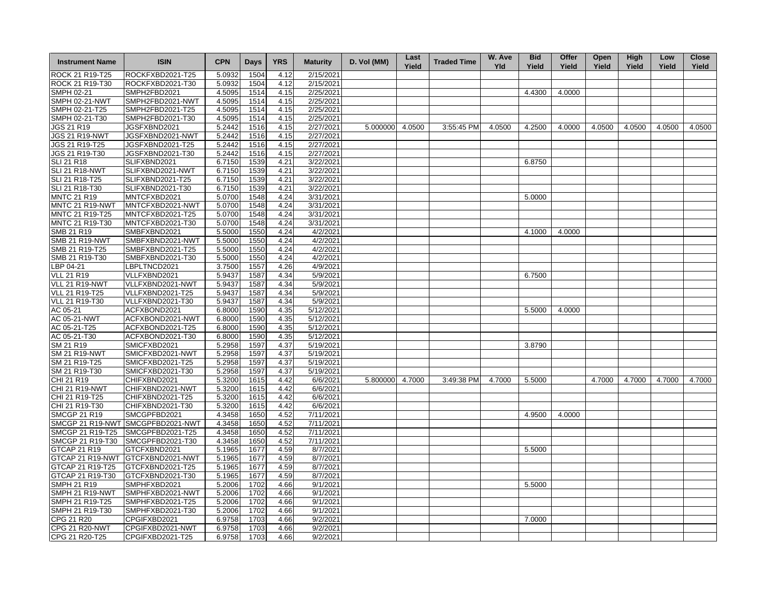| <b>Instrument Name</b>              | <b>ISIN</b>                          | <b>CPN</b>       | Days         | <b>YRS</b>   | <b>Maturity</b>        | D. Vol (MM)     | Last<br>Yield | <b>Traded Time</b> | W. Ave<br><b>Yld</b> | <b>Bid</b><br>Yield | Offer<br>Yield | Open<br>Yield | High<br>Yield | Low<br>Yield | <b>Close</b><br>Yield |
|-------------------------------------|--------------------------------------|------------------|--------------|--------------|------------------------|-----------------|---------------|--------------------|----------------------|---------------------|----------------|---------------|---------------|--------------|-----------------------|
| ROCK 21 R19-T25                     | ROCKFXBD2021-T25                     | 5.0932           | 1504         | 4.12         | 2/15/2021              |                 |               |                    |                      |                     |                |               |               |              |                       |
| ROCK 21 R19-T30                     | ROCKFXBD2021-T30                     | 5.0932           | 1504         | 4.12         | 2/15/2021              |                 |               |                    |                      |                     |                |               |               |              |                       |
| SMPH 02-21                          | SMPH2FBD2021                         | 4.5095           | 1514         | 4.15         | 2/25/2021              |                 |               |                    |                      | 4.4300              | 4.0000         |               |               |              |                       |
| <b>SMPH 02-21-NWT</b>               | SMPH2FBD2021-NWT                     | 4.5095           | 1514         | 4.15         | 2/25/2021              |                 |               |                    |                      |                     |                |               |               |              |                       |
| SMPH 02-21-T25                      | SMPH2FBD2021-T25                     | 4.5095           | 1514         | 4.15         | 2/25/2021              |                 |               |                    |                      |                     |                |               |               |              |                       |
| SMPH 02-21-T30                      | SMPH2FBD2021-T30                     | 4.5095           | 1514         | 4.15         | 2/25/2021              |                 |               |                    |                      |                     |                |               |               |              |                       |
| JGS 21 R19                          | JGSFXBND2021                         | 5.2442           | 1516         | 4.15         | 2/27/2021              | 5.000000 4.0500 |               | 3:55:45 PM         | 4.0500               | 4.2500              | 4.0000         | 4.0500        | 4.0500        | 4.0500       | 4.0500                |
| <b>JGS 21 R19-NWT</b>               | JGSFXBND2021-NWT                     | 5.2442           | 1516         | 4.15         | 2/27/2021              |                 |               |                    |                      |                     |                |               |               |              |                       |
| JGS 21 R19-T25                      | JGSFXBND2021-T25                     | 5.2442           | 1516         | 4.15         | 2/27/2021              |                 |               |                    |                      |                     |                |               |               |              |                       |
| JGS 21 R19-T30                      | JGSFXBND2021-T30                     | 5.2442           | 1516         | 4.15         | 2/27/2021              |                 |               |                    |                      |                     |                |               |               |              |                       |
| <b>SLI 21 R18</b>                   | SLIFXBND2021                         | 6.7150           | 1539         | 4.21         | 3/22/2021              |                 |               |                    |                      | 6.8750              |                |               |               |              |                       |
| <b>SLI 21 R18-NWT</b>               | SLIFXBND2021-NWT                     | 6.7150           | 1539         | 4.21         | 3/22/2021              |                 |               |                    |                      |                     |                |               |               |              |                       |
| SLI 21 R18-T25                      | SLIFXBND2021-T25                     | 6.7150           | 1539         | 4.21         | 3/22/2021              |                 |               |                    |                      |                     |                |               |               |              |                       |
| SLI 21 R18-T30                      | SLIFXBND2021-T30                     | 6.7150           | 1539         | 4.21         | 3/22/2021              |                 |               |                    |                      |                     |                |               |               |              |                       |
| <b>MNTC 21 R19</b>                  | MNTCFXBD2021                         | 5.0700           | 1548         | 4.24         | 3/31/2021              |                 |               |                    |                      | 5.0000              |                |               |               |              |                       |
| MNTC 21 R19-NWT                     | MNTCFXBD2021-NWT                     | 5.0700           | 1548         | 4.24         | 3/31/2021              |                 |               |                    |                      |                     |                |               |               |              |                       |
| MNTC 21 R19-T25                     | MNTCFXBD2021-T25                     | 5.0700           | 1548         | 4.24         | 3/31/2021              |                 |               |                    |                      |                     |                |               |               |              |                       |
| MNTC 21 R19-T30                     | MNTCFXBD2021-T30                     | 5.0700           | 1548         | 4.24         | 3/31/2021              |                 |               |                    |                      |                     |                |               |               |              |                       |
| SMB 21 R19                          | SMBFXBND2021                         | 5.5000           | 1550         | 4.24         | 4/2/2021               |                 |               |                    |                      | 4.1000              | 4.0000         |               |               |              |                       |
| <b>SMB 21 R19-NWT</b>               | SMBFXBND2021-NWT                     | 5.5000           | 1550         | 4.24         | 4/2/2021               |                 |               |                    |                      |                     |                |               |               |              |                       |
| SMB 21 R19-T25                      | SMBFXBND2021-T25                     | 5.5000           | 1550         | 4.24         | 4/2/2021               |                 |               |                    |                      |                     |                |               |               |              |                       |
| SMB 21 R19-T30                      | SMBFXBND2021-T30                     | 5.5000           | 1550         | 4.24         | 4/2/2021               |                 |               |                    |                      |                     |                |               |               |              |                       |
| LBP 04-21                           | LBPLTNCD2021                         | 3.7500           | 1557         | 4.26         | 4/9/2021               |                 |               |                    |                      |                     |                |               |               |              |                       |
| <b>VLL 21 R19</b>                   | VLLFXBND2021                         | 5.9437           | 1587         | 4.34         | 5/9/2021               |                 |               |                    |                      | 6.7500              |                |               |               |              |                       |
| VLL 21 R19-NWT                      | VLLFXBND2021-NWT                     | 5.9437           | 1587         | 4.34         | 5/9/2021               |                 |               |                    |                      |                     |                |               |               |              |                       |
| VLL 21 R19-T25                      | VLLFXBND2021-T25                     | 5.9437           | 1587         | 4.34         | 5/9/2021               |                 |               |                    |                      |                     |                |               |               |              |                       |
| <b>VLL 21 R19-T30</b>               | VLLFXBND2021-T30                     | 5.9437           | 1587         | 4.34         | 5/9/2021               |                 |               |                    |                      |                     |                |               |               |              |                       |
| AC 05-21                            | ACFXBOND2021                         | 6.8000           | 1590         | 4.35         | 5/12/2021              |                 |               |                    |                      | 5.5000              | 4.0000         |               |               |              |                       |
| AC 05-21-NWT                        | ACFXBOND2021-NWT                     | 6.8000           | 1590         | 4.35         | 5/12/2021              |                 |               |                    |                      |                     |                |               |               |              |                       |
| AC 05-21-T25                        | ACFXBOND2021-T25                     | 6.8000           | 1590         | 4.35         | 5/12/2021              |                 |               |                    |                      |                     |                |               |               |              |                       |
| AC 05-21-T30                        | ACFXBOND2021-T30                     | 6.8000           | 1590         | 4.35         | 5/12/2021              |                 |               |                    |                      |                     |                |               |               |              |                       |
| SM 21 R19                           | SMICFXBD2021                         | 5.2958           | 1597         | 4.37         | 5/19/2021              |                 |               |                    |                      | 3.8790              |                |               |               |              |                       |
| <b>SM 21 R19-NWT</b>                | SMICFXBD2021-NWT                     | 5.2958           | 1597         | 4.37         | 5/19/2021              |                 |               |                    |                      |                     |                |               |               |              |                       |
| SM 21 R19-T25                       | SMICFXBD2021-T25                     | 5.2958           | 1597         | 4.37         | 5/19/2021              |                 |               |                    |                      |                     |                |               |               |              |                       |
| SM 21 R19-T30                       | SMICFXBD2021-T30                     | 5.2958           | 1597         | 4.37         | 5/19/2021              |                 |               |                    |                      |                     |                |               |               |              |                       |
|                                     |                                      |                  |              |              |                        |                 |               |                    |                      |                     |                |               |               |              |                       |
| CHI 21 R19<br><b>CHI 21 R19-NWT</b> | CHIFXBND2021<br>CHIFXBND2021-NWT     | 5.3200           | 1615<br>1615 | 4.42<br>4.42 | 6/6/2021<br>6/6/2021   | 5.800000 4.7000 |               | 3:49:38 PM         | 4.7000               | 5.5000              |                | 4.7000        | 4.7000        | 4.7000       | 4.7000                |
| CHI 21 R19-T25                      | CHIFXBND2021-T25                     | 5.3200<br>5.3200 | 1615         | 4.42         | 6/6/2021               |                 |               |                    |                      |                     |                |               |               |              |                       |
| CHI 21 R19-T30                      | CHIFXBND2021-T30                     |                  | 1615         | 4.42         | 6/6/2021               |                 |               |                    |                      |                     |                |               |               |              |                       |
|                                     |                                      | 5.3200           |              |              |                        |                 |               |                    |                      |                     |                |               |               |              |                       |
| <b>SMCGP 21 R19</b>                 | SMCGPFBD2021                         | 4.3458           | 1650         | 4.52         | 7/11/2021              |                 |               |                    |                      | 4.9500              | 4.0000         |               |               |              |                       |
|                                     | SMCGP 21 R19-NWT SMCGPFBD2021-NWT    | 4.3458           | 1650         | 4.52         | 7/11/2021              |                 |               |                    |                      |                     |                |               |               |              |                       |
| SMCGP 21 R19-T25                    | SMCGPFBD2021-T25<br>SMCGPFBD2021-T30 | 4.3458           | 1650         | 4.52         | 7/11/2021<br>7/11/2021 |                 |               |                    |                      |                     |                |               |               |              |                       |
| SMCGP 21 R19-T30                    |                                      | 4.3458           | 1650         | 4.52         |                        |                 |               |                    |                      |                     |                |               |               |              |                       |
| GTCAP 21 R19                        | GTCFXBND2021                         | 5.1965           | 1677         | 4.59         | 8/7/2021               |                 |               |                    |                      | 5.5000              |                |               |               |              |                       |
|                                     | GTCAP 21 R19-NWT GTCFXBND2021-NWT    | 5.1965           | 1677         | 4.59         | 8/7/2021               |                 |               |                    |                      |                     |                |               |               |              |                       |
| GTCAP 21 R19-T25                    | GTCFXBND2021-T25                     | 5.1965           | 1677         | 4.59         | 8/7/2021               |                 |               |                    |                      |                     |                |               |               |              |                       |
| GTCAP 21 R19-T30                    | GTCFXBND2021-T30                     | 5.1965           | 1677         | 4.59         | 8/7/2021               |                 |               |                    |                      |                     |                |               |               |              |                       |
| <b>SMPH 21 R19</b>                  | SMPHFXBD2021                         | 5.2006           | 1702         | 4.66         | 9/1/2021               |                 |               |                    |                      | 5.5000              |                |               |               |              |                       |
| SMPH 21 R19-NWT                     | SMPHFXBD2021-NWT                     | 5.2006           | 1702         | 4.66         | 9/1/2021               |                 |               |                    |                      |                     |                |               |               |              |                       |
| SMPH 21 R19-T25                     | SMPHFXBD2021-T25                     | 5.2006           | 1702         | 4.66         | 9/1/2021               |                 |               |                    |                      |                     |                |               |               |              |                       |
| SMPH 21 R19-T30                     | SMPHFXBD2021-T30                     | 5.2006           | 1702         | 4.66         | 9/1/2021               |                 |               |                    |                      |                     |                |               |               |              |                       |
| CPG 21 R20                          | CPGIFXBD2021                         | 6.9758           | 1703         | 4.66         | 9/2/2021               |                 |               |                    |                      | 7.0000              |                |               |               |              |                       |
| <b>CPG 21 R20-NWT</b>               | CPGIFXBD2021-NWT                     | 6.9758           | 1703         | 4.66         | 9/2/2021               |                 |               |                    |                      |                     |                |               |               |              |                       |
| CPG 21 R20-T25                      | CPGIFXBD2021-T25                     | 6.9758           | 1703         | 4.66         | 9/2/2021               |                 |               |                    |                      |                     |                |               |               |              |                       |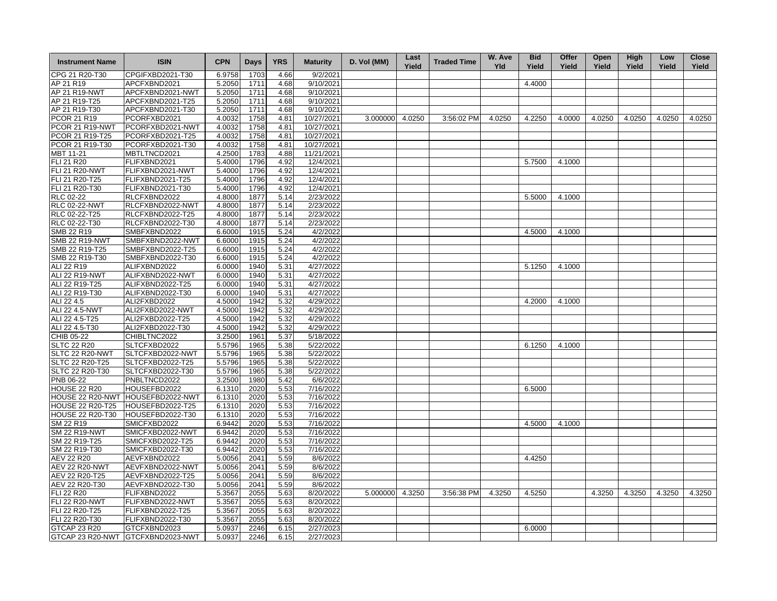| <b>Instrument Name</b>  | <b>ISIN</b>                          | <b>CPN</b> | <b>Days</b> | <b>YRS</b> | <b>Maturity</b> | D. Vol (MM)     | Last<br>Yield | <b>Traded Time</b> | W. Ave<br><b>Yld</b> | <b>Bid</b><br>Yield | Offer<br>Yield | Open<br>Yield | High<br>Yield | Low<br>Yield | <b>Close</b><br>Yield |
|-------------------------|--------------------------------------|------------|-------------|------------|-----------------|-----------------|---------------|--------------------|----------------------|---------------------|----------------|---------------|---------------|--------------|-----------------------|
| CPG 21 R20-T30          | CPGIFXBD2021-T30                     | 6.9758     | 1703        | 4.66       | 9/2/2021        |                 |               |                    |                      |                     |                |               |               |              |                       |
| AP 21 R19               | APCFXBND2021                         | 5.2050     | 1711        | 4.68       | 9/10/2021       |                 |               |                    |                      | 4.4000              |                |               |               |              |                       |
| AP 21 R19-NWT           | APCFXBND2021-NWT                     | 5.2050     | 1711        | 4.68       | 9/10/2021       |                 |               |                    |                      |                     |                |               |               |              |                       |
| AP 21 R19-T25           | APCFXBND2021-T25                     | 5.2050     | 1711        | 4.68       | 9/10/2021       |                 |               |                    |                      |                     |                |               |               |              |                       |
| AP 21 R19-T30           | APCFXBND2021-T30                     | 5.2050     | 1711        | 4.68       | 9/10/2021       |                 |               |                    |                      |                     |                |               |               |              |                       |
| <b>PCOR 21 R19</b>      | PCORFXBD2021                         | 4.0032     | 1758        | 4.81       | 10/27/2021      | 3.000000 4.0250 |               | 3:56:02 PM         | 4.0250               | 4.2250              | 4.0000         | 4.0250        | 4.0250        | 4.0250       | 4.0250                |
| PCOR 21 R19-NWT         | PCORFXBD2021-NWT                     | 4.0032     | 1758        | 4.81       | 10/27/2021      |                 |               |                    |                      |                     |                |               |               |              |                       |
| PCOR 21 R19-T25         | PCORFXBD2021-T25                     | 4.0032     | 1758        | 4.81       | 10/27/2021      |                 |               |                    |                      |                     |                |               |               |              |                       |
| PCOR 21 R19-T30         | PCORFXBD2021-T30                     | 4.0032     | 1758        | 4.81       | 10/27/2021      |                 |               |                    |                      |                     |                |               |               |              |                       |
| MBT 11-21               | MBTLTNCD2021                         | 4.2500     | 1783        | 4.88       | 11/21/2021      |                 |               |                    |                      |                     |                |               |               |              |                       |
| FLI 21 R20              | FLIFXBND2021                         | 5.4000     | 1796        | 4.92       | 12/4/2021       |                 |               |                    |                      | 5.7500              | 4.1000         |               |               |              |                       |
| <b>FLI 21 R20-NWT</b>   | FLIFXBND2021-NWT                     | 5.4000     | 1796        | 4.92       | 12/4/2021       |                 |               |                    |                      |                     |                |               |               |              |                       |
| FLI 21 R20-T25          | FLIFXBND2021-T25                     | 5.4000     | 1796        | 4.92       | 12/4/2021       |                 |               |                    |                      |                     |                |               |               |              |                       |
| FLI 21 R20-T30          | FLIFXBND2021-T30                     | 5.4000     | 1796        | 4.92       | 12/4/2021       |                 |               |                    |                      |                     |                |               |               |              |                       |
| RLC 02-22               | RLCFXBND2022                         | 4.8000     | 1877        | 5.14       | 2/23/2022       |                 |               |                    |                      | 5.5000              | 4.1000         |               |               |              |                       |
| <b>RLC 02-22-NWT</b>    | RLCFXBND2022-NWT                     | 4.8000     | 1877        | 5.14       | 2/23/2022       |                 |               |                    |                      |                     |                |               |               |              |                       |
|                         |                                      |            |             |            |                 |                 |               |                    |                      |                     |                |               |               |              |                       |
| RLC 02-22-T25           | RLCFXBND2022-T25<br>RLCFXBND2022-T30 | 4.8000     | 1877        | 5.14       | 2/23/2022       |                 |               |                    |                      |                     |                |               |               |              |                       |
| RLC 02-22-T30           |                                      | 4.8000     | 1877        | 5.14       | 2/23/2022       |                 |               |                    |                      |                     |                |               |               |              |                       |
| SMB 22 R19              | SMBFXBND2022                         | 6.6000     | 1915        | 5.24       | 4/2/2022        |                 |               |                    |                      | 4.5000              | 4.1000         |               |               |              |                       |
| SMB 22 R19-NWT          | SMBFXBND2022-NWT                     | 6.6000     | 1915        | 5.24       | 4/2/2022        |                 |               |                    |                      |                     |                |               |               |              |                       |
| SMB 22 R19-T25          | SMBFXBND2022-T25                     | 6.6000     | 1915        | 5.24       | 4/2/2022        |                 |               |                    |                      |                     |                |               |               |              |                       |
| SMB 22 R19-T30          | SMBFXBND2022-T30                     | 6.6000     | 1915        | 5.24       | 4/2/2022        |                 |               |                    |                      |                     |                |               |               |              |                       |
| ALI 22 R19              | ALIFXBND2022                         | 6.0000     | 1940        | 5.31       | 4/27/2022       |                 |               |                    |                      | 5.1250              | 4.1000         |               |               |              |                       |
| <b>ALI 22 R19-NWT</b>   | ALIFXBND2022-NWT                     | 6.0000     | 1940        | 5.31       | 4/27/2022       |                 |               |                    |                      |                     |                |               |               |              |                       |
| ALI 22 R19-T25          | ALIFXBND2022-T25                     | 6.0000     | 1940        | 5.31       | 4/27/2022       |                 |               |                    |                      |                     |                |               |               |              |                       |
| ALI 22 R19-T30          | ALIFXBND2022-T30                     | 6.0000     | 1940        | 5.31       | 4/27/2022       |                 |               |                    |                      |                     |                |               |               |              |                       |
| ALI 22 4.5              | ALI2FXBD2022                         | 4.5000     | 1942        | 5.32       | 4/29/2022       |                 |               |                    |                      | 4.2000              | 4.1000         |               |               |              |                       |
| ALI 22 4.5-NWT          | ALI2FXBD2022-NWT                     | 4.5000     | 1942        | 5.32       | 4/29/2022       |                 |               |                    |                      |                     |                |               |               |              |                       |
| ALI 22 4.5-T25          | ALI2FXBD2022-T25                     | 4.5000     | 1942        | 5.32       | 4/29/2022       |                 |               |                    |                      |                     |                |               |               |              |                       |
| ALI 22 4.5-T30          | ALI2FXBD2022-T30                     | 4.5000     | 1942        | 5.32       | 4/29/2022       |                 |               |                    |                      |                     |                |               |               |              |                       |
| CHIB 05-22              | CHIBLTNC2022                         | 3.2500     | 1961        | 5.37       | 5/18/2022       |                 |               |                    |                      |                     |                |               |               |              |                       |
| <b>SLTC 22 R20</b>      | SLTCFXBD2022                         | 5.5796     | 1965        | 5.38       | 5/22/2022       |                 |               |                    |                      | 6.1250              | 4.1000         |               |               |              |                       |
| SLTC 22 R20-NWT         | SLTCFXBD2022-NWT                     | 5.5796     | 1965        | 5.38       | 5/22/2022       |                 |               |                    |                      |                     |                |               |               |              |                       |
| SLTC 22 R20-T25         | SLTCFXBD2022-T25                     | 5.5796     | 1965        | 5.38       | 5/22/2022       |                 |               |                    |                      |                     |                |               |               |              |                       |
| SLTC 22 R20-T30         | SLTCFXBD2022-T30                     | 5.5796     | 1965        | 5.38       | 5/22/2022       |                 |               |                    |                      |                     |                |               |               |              |                       |
| PNB 06-22               | PNBLTNCD2022                         | 3.2500     | 1980        | 5.42       | 6/6/2022        |                 |               |                    |                      |                     |                |               |               |              |                       |
| <b>HOUSE 22 R20</b>     | HOUSEFBD2022                         | 6.1310     | 2020        | 5.53       | 7/16/2022       |                 |               |                    |                      | 6.5000              |                |               |               |              |                       |
|                         | HOUSE 22 R20-NWT HOUSEFBD2022-NWT    | 6.1310     | 2020        | 5.53       | 7/16/2022       |                 |               |                    |                      |                     |                |               |               |              |                       |
| <b>HOUSE 22 R20-T25</b> | HOUSEFBD2022-T25                     | 6.1310     | 2020        | 5.53       | 7/16/2022       |                 |               |                    |                      |                     |                |               |               |              |                       |
| <b>HOUSE 22 R20-T30</b> | HOUSEFBD2022-T30                     | 6.1310     | 2020        | 5.53       | 7/16/2022       |                 |               |                    |                      |                     |                |               |               |              |                       |
| SM 22 R19               | SMICFXBD2022                         | 6.9442     | 2020        | 5.53       | 7/16/2022       |                 |               |                    |                      | 4.5000              | 4.1000         |               |               |              |                       |
| <b>SM 22 R19-NWT</b>    | SMICFXBD2022-NWT                     | 6.9442     | 2020        | 5.53       | 7/16/2022       |                 |               |                    |                      |                     |                |               |               |              |                       |
| SM 22 R19-T25           | SMICFXBD2022-T25                     | 6.9442     | 2020        | 5.53       | 7/16/2022       |                 |               |                    |                      |                     |                |               |               |              |                       |
| SM 22 R19-T30           | SMICFXBD2022-T30                     | 6.9442     | 2020        | 5.53       | 7/16/2022       |                 |               |                    |                      |                     |                |               |               |              |                       |
| <b>AEV 22 R20</b>       | AEVFXBND2022                         | 5.0056     | 2041        | 5.59       | 8/6/2022        |                 |               |                    |                      | 4.4250              |                |               |               |              |                       |
| <b>AEV 22 R20-NWT</b>   | AEVFXBND2022-NWT                     | 5.0056     | 2041        | 5.59       | 8/6/2022        |                 |               |                    |                      |                     |                |               |               |              |                       |
| AEV 22 R20-T25          | AEVFXBND2022-T25                     | 5.0056     | 2041        | 5.59       | 8/6/2022        |                 |               |                    |                      |                     |                |               |               |              |                       |
| AEV 22 R20-T30          | AEVFXBND2022-T30                     | 5.0056     | 2041        | 5.59       | 8/6/2022        |                 |               |                    |                      |                     |                |               |               |              |                       |
| <b>FLI 22 R20</b>       | FLIFXBND2022                         | 5.3567     | 2055        | 5.63       | 8/20/2022       | 5.000000 4.3250 |               | 3:56:38 PM         | 4.3250               | 4.5250              |                | 4.3250        | 4.3250        | 4.3250       | 4.3250                |
| <b>FLI 22 R20-NWT</b>   | FLIFXBND2022-NWT                     | 5.3567     | 2055        | 5.63       | 8/20/2022       |                 |               |                    |                      |                     |                |               |               |              |                       |
| FLI 22 R20-T25          | FLIFXBND2022-T25                     | 5.3567     | 2055        | 5.63       | 8/20/2022       |                 |               |                    |                      |                     |                |               |               |              |                       |
| FLI 22 R20-T30          | FLIFXBND2022-T30                     | 5.3567     | 2055        | 5.63       | 8/20/2022       |                 |               |                    |                      |                     |                |               |               |              |                       |
|                         |                                      |            |             |            |                 |                 |               |                    |                      |                     |                |               |               |              |                       |
| <b>GTCAP 23 R20</b>     | GTCFXBND2023                         | 5.0937     | 2246        | 6.15       | 2/27/2023       |                 |               |                    |                      | 6.0000              |                |               |               |              |                       |
|                         | GTCAP 23 R20-NWT GTCFXBND2023-NWT    | 5.0937     | 2246        | 6.15       | 2/27/2023       |                 |               |                    |                      |                     |                |               |               |              |                       |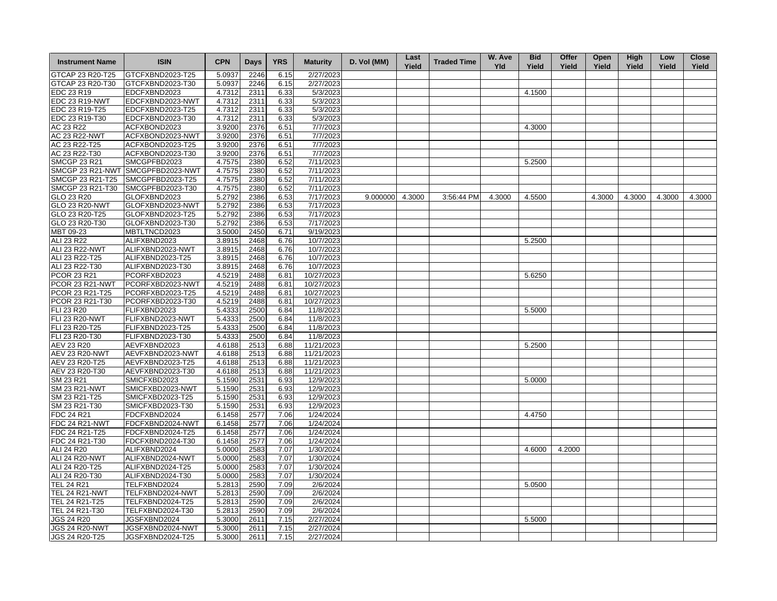| <b>Instrument Name</b> | <b>ISIN</b>                       | <b>CPN</b> | <b>Days</b> | <b>YRS</b> | <b>Maturity</b> | D. Vol (MM)     | Last<br>Yield | <b>Traded Time</b> | W. Ave<br><b>Yld</b> | <b>Bid</b><br>Yield | Offer<br>Yield | Open<br>Yield | High<br>Yield | Low<br>Yield | <b>Close</b><br>Yield |
|------------------------|-----------------------------------|------------|-------------|------------|-----------------|-----------------|---------------|--------------------|----------------------|---------------------|----------------|---------------|---------------|--------------|-----------------------|
| GTCAP 23 R20-T25       | GTCFXBND2023-T25                  | 5.0937     | 2246        | 6.15       | 2/27/2023       |                 |               |                    |                      |                     |                |               |               |              |                       |
| GTCAP 23 R20-T30       | GTCFXBND2023-T30                  | 5.0937     | 2246        | 6.15       | 2/27/2023       |                 |               |                    |                      |                     |                |               |               |              |                       |
| EDC 23 R19             | EDCFXBND2023                      | 4.7312     | 2311        | 6.33       | 5/3/2023        |                 |               |                    |                      | 4.1500              |                |               |               |              |                       |
| <b>EDC 23 R19-NWT</b>  | EDCFXBND2023-NWT                  | 4.7312     | 2311        | 6.33       | 5/3/2023        |                 |               |                    |                      |                     |                |               |               |              |                       |
| EDC 23 R19-T25         | EDCFXBND2023-T25                  | 4.7312     | 2311        | 6.33       | 5/3/2023        |                 |               |                    |                      |                     |                |               |               |              |                       |
| EDC 23 R19-T30         | EDCFXBND2023-T30                  | 4.7312     | 2311        | 6.33       | 5/3/2023        |                 |               |                    |                      |                     |                |               |               |              |                       |
| AC 23 R22              | ACFXBOND2023                      | 3.9200     | 2376        | 6.51       | 7/7/2023        |                 |               |                    |                      | 4.3000              |                |               |               |              |                       |
| <b>AC 23 R22-NWT</b>   | ACFXBOND2023-NWT                  | 3.9200     | 2376        | 6.51       | 7/7/2023        |                 |               |                    |                      |                     |                |               |               |              |                       |
| AC 23 R22-T25          | ACFXBOND2023-T25                  | 3.9200     | 2376        | 6.51       | 7/7/2023        |                 |               |                    |                      |                     |                |               |               |              |                       |
| AC 23 R22-T30          | ACFXBOND2023-T30                  | 3.9200     | 2376        | 6.51       | 7/7/2023        |                 |               |                    |                      |                     |                |               |               |              |                       |
| <b>SMCGP 23 R21</b>    | SMCGPFBD2023                      | 4.7575     | 2380        | 6.52       | 7/11/2023       |                 |               |                    |                      | 5.2500              |                |               |               |              |                       |
|                        | SMCGP 23 R21-NWT SMCGPFBD2023-NWT | 4.7575     | 2380        | 6.52       | 7/11/2023       |                 |               |                    |                      |                     |                |               |               |              |                       |
| SMCGP 23 R21-T25       | SMCGPFBD2023-T25                  | 4.7575     | 2380        | 6.52       | 7/11/2023       |                 |               |                    |                      |                     |                |               |               |              |                       |
| SMCGP 23 R21-T30       | SMCGPFBD2023-T30                  | 4.7575     | 2380        | 6.52       | 7/11/2023       |                 |               |                    |                      |                     |                |               |               |              |                       |
| GLO 23 R20             | GLOFXBND2023                      | 5.2792     | 2386        | 6.53       | 7/17/2023       | 9.000000 4.3000 |               | 3:56:44 PM         | 4.3000               | 4.5500              |                | 4.3000        | 4.3000        | 4.3000       | 4.3000                |
| GLO 23 R20-NWT         | GLOFXBND2023-NWT                  | 5.2792     | 2386        | 6.53       | 7/17/2023       |                 |               |                    |                      |                     |                |               |               |              |                       |
| GLO 23 R20-T25         | GLOFXBND2023-T25                  | 5.2792     | 2386        | 6.53       | 7/17/2023       |                 |               |                    |                      |                     |                |               |               |              |                       |
| GLO 23 R20-T30         | GLOFXBND2023-T30                  | 5.2792     | 2386        | 6.53       | 7/17/2023       |                 |               |                    |                      |                     |                |               |               |              |                       |
| MBT 09-23              | MBTLTNCD2023                      | 3.5000     | 2450        | 6.71       | 9/19/2023       |                 |               |                    |                      |                     |                |               |               |              |                       |
| ALI 23 R22             | ALIFXBND2023                      | 3.8915     | 2468        | 6.76       | 10/7/2023       |                 |               |                    |                      | 5.2500              |                |               |               |              |                       |
| <b>ALI 23 R22-NWT</b>  | ALIFXBND2023-NWT                  | 3.8915     | 2468        | 6.76       | 10/7/2023       |                 |               |                    |                      |                     |                |               |               |              |                       |
| ALI 23 R22-T25         | ALIFXBND2023-T25                  | 3.8915     | 2468        | 6.76       | 10/7/2023       |                 |               |                    |                      |                     |                |               |               |              |                       |
| ALI 23 R22-T30         | ALIFXBND2023-T30                  | 3.8915     | 2468        | 6.76       | 10/7/2023       |                 |               |                    |                      |                     |                |               |               |              |                       |
| PCOR 23 R21            | PCORFXBD2023                      | 4.5219     | 2488        | 6.81       | 10/27/2023      |                 |               |                    |                      | 5.6250              |                |               |               |              |                       |
| PCOR 23 R21-NWT        | PCORFXBD2023-NWT                  | 4.5219     | 2488        | 6.81       | 10/27/2023      |                 |               |                    |                      |                     |                |               |               |              |                       |
| PCOR 23 R21-T25        | PCORFXBD2023-T25                  | 4.5219     | 2488        | 6.81       | 10/27/2023      |                 |               |                    |                      |                     |                |               |               |              |                       |
| PCOR 23 R21-T30        | PCORFXBD2023-T30                  | 4.5219     | 2488        | 6.81       | 10/27/2023      |                 |               |                    |                      |                     |                |               |               |              |                       |
| FLI 23 R20             | FLIFXBND2023                      | 5.4333     | 2500        | 6.84       | 11/8/2023       |                 |               |                    |                      | 5.5000              |                |               |               |              |                       |
| <b>FLI 23 R20-NWT</b>  | FLIFXBND2023-NWT                  | 5.4333     | 2500        | 6.84       | 11/8/2023       |                 |               |                    |                      |                     |                |               |               |              |                       |
| FLI 23 R20-T25         | FLIFXBND2023-T25                  | 5.4333     | 2500        | 6.84       | 11/8/2023       |                 |               |                    |                      |                     |                |               |               |              |                       |
| FLI 23 R20-T30         | FLIFXBND2023-T30                  | 5.4333     | 2500        | 6.84       | 11/8/2023       |                 |               |                    |                      |                     |                |               |               |              |                       |
| AEV 23 R20             | AEVFXBND2023                      | 4.6188     | 2513        | 6.88       | 11/21/2023      |                 |               |                    |                      | 5.2500              |                |               |               |              |                       |
| <b>AEV 23 R20-NWT</b>  | AEVFXBND2023-NWT                  | 4.6188     | 2513        | 6.88       | 11/21/2023      |                 |               |                    |                      |                     |                |               |               |              |                       |
| AEV 23 R20-T25         | AEVFXBND2023-T25                  | 4.6188     | 2513        | 6.88       | 11/21/2023      |                 |               |                    |                      |                     |                |               |               |              |                       |
| AEV 23 R20-T30         | AEVFXBND2023-T30                  | 4.6188     | 2513        | 6.88       | 11/21/2023      |                 |               |                    |                      |                     |                |               |               |              |                       |
| SM 23 R21              | SMICFXBD2023                      | 5.1590     | 2531        | 6.93       | 12/9/2023       |                 |               |                    |                      | 5.0000              |                |               |               |              |                       |
| <b>SM 23 R21-NWT</b>   | SMICFXBD2023-NWT                  | 5.1590     | 2531        | 6.93       | 12/9/2023       |                 |               |                    |                      |                     |                |               |               |              |                       |
| SM 23 R21-T25          | SMICFXBD2023-T25                  | 5.1590     | 2531        | 6.93       | 12/9/2023       |                 |               |                    |                      |                     |                |               |               |              |                       |
| SM 23 R21-T30          | SMICFXBD2023-T30                  | 5.1590     | 2531        | 6.93       | 12/9/2023       |                 |               |                    |                      |                     |                |               |               |              |                       |
| FDC 24 R21             | FDCFXBND2024                      | 6.1458     | 2577        | 7.06       | 1/24/2024       |                 |               |                    |                      | 4.4750              |                |               |               |              |                       |
| FDC 24 R21-NWT         | FDCFXBND2024-NWT                  | 6.1458     | 2577        | 7.06       | 1/24/2024       |                 |               |                    |                      |                     |                |               |               |              |                       |
| FDC 24 R21-T25         | FDCFXBND2024-T25                  | 6.1458     | 2577        | 7.06       | 1/24/2024       |                 |               |                    |                      |                     |                |               |               |              |                       |
| FDC 24 R21-T30         | FDCFXBND2024-T30                  | 6.1458     | 2577        | 7.06       | 1/24/2024       |                 |               |                    |                      |                     |                |               |               |              |                       |
| ALI 24 R20             | ALIFXBND2024                      | 5.0000     | 2583        | 7.07       | 1/30/2024       |                 |               |                    |                      | 4.6000              | 4.2000         |               |               |              |                       |
| <b>ALI 24 R20-NWT</b>  | ALIFXBND2024-NWT                  | 5.0000     | 2583        | 7.07       | 1/30/2024       |                 |               |                    |                      |                     |                |               |               |              |                       |
| ALI 24 R20-T25         | ALIFXBND2024-T25                  | 5.0000     | 2583        | 7.07       | 1/30/2024       |                 |               |                    |                      |                     |                |               |               |              |                       |
| ALI 24 R20-T30         | ALIFXBND2024-T30                  | 5.0000     | 2583        | 7.07       | 1/30/2024       |                 |               |                    |                      |                     |                |               |               |              |                       |
| <b>TEL 24 R21</b>      | TELFXBND2024                      | 5.2813     | 2590        | 7.09       | 2/6/2024        |                 |               |                    |                      | 5.0500              |                |               |               |              |                       |
| TEL 24 R21-NWT         | TELFXBND2024-NWT                  | 5.2813     | 2590        | 7.09       | 2/6/2024        |                 |               |                    |                      |                     |                |               |               |              |                       |
| TEL 24 R21-T25         | TELFXBND2024-T25                  | 5.2813     | 2590        | 7.09       | 2/6/2024        |                 |               |                    |                      |                     |                |               |               |              |                       |
| TEL 24 R21-T30         | TELFXBND2024-T30                  | 5.2813     | 2590        | 7.09       | 2/6/2024        |                 |               |                    |                      |                     |                |               |               |              |                       |
| <b>JGS 24 R20</b>      | JGSFXBND2024                      | 5.3000     | 2611        | 7.15       | 2/27/2024       |                 |               |                    |                      | 5.5000              |                |               |               |              |                       |
| <b>JGS 24 R20-NWT</b>  | JGSFXBND2024-NWT                  | 5.3000     | 2611        | 7.15       | 2/27/2024       |                 |               |                    |                      |                     |                |               |               |              |                       |
| JGS 24 R20-T25         | JGSFXBND2024-T25                  | 5.3000     | 2611        | 7.15       | 2/27/2024       |                 |               |                    |                      |                     |                |               |               |              |                       |
|                        |                                   |            |             |            |                 |                 |               |                    |                      |                     |                |               |               |              |                       |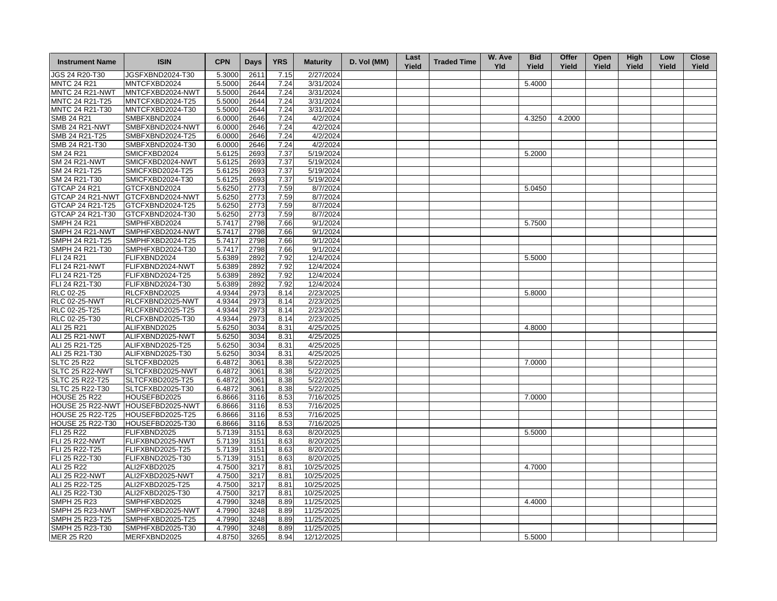| <b>Instrument Name</b>                  | <b>ISIN</b>                       | <b>CPN</b>       | <b>Days</b>  | <b>YRS</b>   | <b>Maturity</b>      | D. Vol (MM) | Last<br>Yield | <b>Traded Time</b> | W. Ave<br><b>Yld</b> | <b>Bid</b><br>Yield | Offer<br>Yield | Open<br>Yield | <b>High</b><br>Yield | Low<br>Yield | <b>Close</b><br>Yield |
|-----------------------------------------|-----------------------------------|------------------|--------------|--------------|----------------------|-------------|---------------|--------------------|----------------------|---------------------|----------------|---------------|----------------------|--------------|-----------------------|
| JGS 24 R20-T30                          | JGSFXBND2024-T30                  | 5.3000           | 2611         | 7.15         | 2/27/2024            |             |               |                    |                      |                     |                |               |                      |              |                       |
| <b>MNTC 24 R21</b>                      | MNTCFXBD2024                      | 5.5000           | 2644         | 7.24         | 3/31/2024            |             |               |                    |                      | 5.4000              |                |               |                      |              |                       |
| MNTC 24 R21-NWT                         | MNTCFXBD2024-NWT                  | 5.5000           | 2644         | 7.24         | 3/31/2024            |             |               |                    |                      |                     |                |               |                      |              |                       |
| MNTC 24 R21-T25                         | MNTCFXBD2024-T25                  | 5.5000           | 2644         | 7.24         | 3/31/2024            |             |               |                    |                      |                     |                |               |                      |              |                       |
| MNTC 24 R21-T30                         | MNTCFXBD2024-T30                  | 5.5000           | 2644         | 7.24         | 3/31/2024            |             |               |                    |                      |                     |                |               |                      |              |                       |
| <b>SMB 24 R21</b>                       | SMBFXBND2024                      | 6.0000           | 2646         | 7.24         | 4/2/2024             |             |               |                    |                      | 4.3250              | 4.2000         |               |                      |              |                       |
| <b>SMB 24 R21-NWT</b>                   | SMBFXBND2024-NWT                  | 6.0000           | 2646         | 7.24         | 4/2/2024             |             |               |                    |                      |                     |                |               |                      |              |                       |
| SMB 24 R21-T25                          | SMBFXBND2024-T25                  | 6.0000           | 2646         | 7.24         | 4/2/2024             |             |               |                    |                      |                     |                |               |                      |              |                       |
| SMB 24 R21-T30                          | SMBFXBND2024-T30                  | 6.0000           | 2646         | 7.24         | 4/2/2024             |             |               |                    |                      |                     |                |               |                      |              |                       |
| SM 24 R21                               | SMICFXBD2024                      | 5.6125           | 2693         | 7.37         | 5/19/2024            |             |               |                    |                      | 5.2000              |                |               |                      |              |                       |
| <b>SM 24 R21-NWT</b>                    | SMICFXBD2024-NWT                  | 5.6125           | 2693         | 7.37         | 5/19/2024            |             |               |                    |                      |                     |                |               |                      |              |                       |
| SM 24 R21-T25                           | SMICFXBD2024-T25                  | 5.6125           | 2693         | 7.37         | 5/19/2024            |             |               |                    |                      |                     |                |               |                      |              |                       |
| SM 24 R21-T30                           | SMICFXBD2024-T30                  | 5.6125           | 2693         | 7.37         | 5/19/2024            |             |               |                    |                      |                     |                |               |                      |              |                       |
|                                         |                                   |                  |              |              |                      |             |               |                    |                      |                     |                |               |                      |              |                       |
| <b>GTCAP 24 R21</b><br>GTCAP 24 R21-NWT | GTCFXBND2024<br>GTCFXBND2024-NWT  | 5.6250<br>5.6250 | 2773<br>2773 | 7.59<br>7.59 | 8/7/2024<br>8/7/2024 |             |               |                    |                      | 5.0450              |                |               |                      |              |                       |
|                                         |                                   |                  |              |              |                      |             |               |                    |                      |                     |                |               |                      |              |                       |
| GTCAP 24 R21-T25                        | GTCFXBND2024-T25                  | 5.6250           | 2773         | 7.59         | 8/7/2024             |             |               |                    |                      |                     |                |               |                      |              |                       |
| GTCAP 24 R21-T30                        | GTCFXBND2024-T30                  | 5.6250           | 2773         | 7.59         | 8/7/2024             |             |               |                    |                      |                     |                |               |                      |              |                       |
| <b>SMPH 24 R21</b>                      | SMPHFXBD2024                      | 5.7417           | 2798         | 7.66         | 9/1/2024             |             |               |                    |                      | 5.7500              |                |               |                      |              |                       |
| SMPH 24 R21-NWT                         | SMPHFXBD2024-NWT                  | 5.7417           | 2798         | 7.66         | 9/1/2024             |             |               |                    |                      |                     |                |               |                      |              |                       |
| SMPH 24 R21-T25                         | SMPHFXBD2024-T25                  | 5.7417           | 2798         | 7.66         | 9/1/2024             |             |               |                    |                      |                     |                |               |                      |              |                       |
| SMPH 24 R21-T30                         | SMPHFXBD2024-T30                  | 5.7417           | 2798         | 7.66         | 9/1/2024             |             |               |                    |                      |                     |                |               |                      |              |                       |
| FLI 24 R21                              | FLIFXBND2024                      | 5.6389           | 2892         | 7.92         | 12/4/2024            |             |               |                    |                      | 5.5000              |                |               |                      |              |                       |
| <b>FLI 24 R21-NWT</b>                   | FLIFXBND2024-NWT                  | 5.6389           | 2892         | 7.92         | 12/4/2024            |             |               |                    |                      |                     |                |               |                      |              |                       |
| FLI 24 R21-T25                          | FLIFXBND2024-T25                  | 5.6389           | 2892         | 7.92         | 12/4/2024            |             |               |                    |                      |                     |                |               |                      |              |                       |
| FLI 24 R21-T30                          | FLIFXBND2024-T30                  | 5.6389           | 2892         | 7.92         | 12/4/2024            |             |               |                    |                      |                     |                |               |                      |              |                       |
| RLC 02-25                               | RLCFXBND2025                      | 4.9344           | 2973         | 8.14         | 2/23/2025            |             |               |                    |                      | 5.8000              |                |               |                      |              |                       |
| <b>RLC 02-25-NWT</b>                    | RLCFXBND2025-NWT                  | 4.9344           | 2973         | 8.14         | 2/23/2025            |             |               |                    |                      |                     |                |               |                      |              |                       |
| RLC 02-25-T25                           | RLCFXBND2025-T25                  | 4.9344           | 2973         | 8.14         | 2/23/2025            |             |               |                    |                      |                     |                |               |                      |              |                       |
| RLC 02-25-T30                           | RLCFXBND2025-T30                  | 4.9344           | 2973         | 8.14         | 2/23/2025            |             |               |                    |                      |                     |                |               |                      |              |                       |
| ALI 25 R21                              | ALIFXBND2025                      | 5.6250           | 3034         | 8.31         | 4/25/2025            |             |               |                    |                      | 4.8000              |                |               |                      |              |                       |
| <b>ALI 25 R21-NWT</b>                   | ALIFXBND2025-NWT                  | 5.6250           | 3034         | 8.31         | 4/25/2025            |             |               |                    |                      |                     |                |               |                      |              |                       |
| ALI 25 R21-T25                          | ALIFXBND2025-T25                  | 5.6250           | 3034         | 8.31         | 4/25/2025            |             |               |                    |                      |                     |                |               |                      |              |                       |
| ALI 25 R21-T30                          | ALIFXBND2025-T30                  | 5.6250           | 3034         | 8.31         | 4/25/2025            |             |               |                    |                      |                     |                |               |                      |              |                       |
| <b>SLTC 25 R22</b>                      | SLTCFXBD2025                      | 6.4872           | 3061         | 8.38         | 5/22/2025            |             |               |                    |                      | 7.0000              |                |               |                      |              |                       |
| SLTC 25 R22-NWT                         | SLTCFXBD2025-NWT                  | 6.4872           | 3061         | 8.38         | 5/22/2025            |             |               |                    |                      |                     |                |               |                      |              |                       |
| SLTC 25 R22-T25                         | SLTCFXBD2025-T25                  | 6.4872           | 3061         | 8.38         | 5/22/2025            |             |               |                    |                      |                     |                |               |                      |              |                       |
| SLTC 25 R22-T30                         | SLTCFXBD2025-T30                  | 6.4872           | 3061         | 8.38         | 5/22/2025            |             |               |                    |                      |                     |                |               |                      |              |                       |
| <b>HOUSE 25 R22</b>                     | HOUSEFBD2025                      | 6.8666           | 3116         | 8.53         | 7/16/2025            |             |               |                    |                      | 7.0000              |                |               |                      |              |                       |
|                                         | HOUSE 25 R22-NWT HOUSEFBD2025-NWT | 6.8666           | 3116         | 8.53         | 7/16/2025            |             |               |                    |                      |                     |                |               |                      |              |                       |
| <b>HOUSE 25 R22-T25</b>                 | HOUSEFBD2025-T25                  | 6.8666           | 3116         | 8.53         | 7/16/2025            |             |               |                    |                      |                     |                |               |                      |              |                       |
| <b>HOUSE 25 R22-T30</b>                 | HOUSEFBD2025-T30                  | 6.8666           | 3116         | 8.53         | 7/16/2025            |             |               |                    |                      |                     |                |               |                      |              |                       |
| <b>FLI 25 R22</b>                       | FLIFXBND2025                      | 5.7139           | 3151         | 8.63         | 8/20/2025            |             |               |                    |                      | 5.5000              |                |               |                      |              |                       |
| <b>FLI 25 R22-NWT</b>                   | FLIFXBND2025-NWT                  | 5.7139           | 3151         | 8.63         | 8/20/2025            |             |               |                    |                      |                     |                |               |                      |              |                       |
|                                         |                                   | 5.7139           |              |              |                      |             |               |                    |                      |                     |                |               |                      |              |                       |
| FLI 25 R22-T25                          | FLIFXBND2025-T25                  |                  | 3151         | 8.63         | 8/20/2025            |             |               |                    |                      |                     |                |               |                      |              |                       |
| FLI 25 R22-T30                          | FLIFXBND2025-T30                  | 5.7139           | 3151         | 8.63         | 8/20/2025            |             |               |                    |                      |                     |                |               |                      |              |                       |
| ALI 25 R22                              | ALI2FXBD2025                      | 4.7500           | 3217         | 8.81         | 10/25/2025           |             |               |                    |                      | 4.7000              |                |               |                      |              |                       |
| <b>ALI 25 R22-NWT</b>                   | ALI2FXBD2025-NWT                  | 4.7500           | 3217         | 8.81         | 10/25/2025           |             |               |                    |                      |                     |                |               |                      |              |                       |
| ALI 25 R22-T25                          | ALI2FXBD2025-T25                  | 4.7500           | 3217         | 8.81         | 10/25/2025           |             |               |                    |                      |                     |                |               |                      |              |                       |
| ALI 25 R22-T30                          | ALI2FXBD2025-T30                  | 4.7500           | 3217         | 8.81         | 10/25/2025           |             |               |                    |                      |                     |                |               |                      |              |                       |
| <b>SMPH 25 R23</b>                      | SMPHFXBD2025                      | 4.7990           | 3248         | 8.89         | 11/25/2025           |             |               |                    |                      | 4.4000              |                |               |                      |              |                       |
| SMPH 25 R23-NWT                         | SMPHFXBD2025-NWT                  | 4.7990           | 3248         | 8.89         | 11/25/2025           |             |               |                    |                      |                     |                |               |                      |              |                       |
| SMPH 25 R23-T25                         | SMPHFXBD2025-T25                  | 4.7990           | 3248         | 8.89         | 11/25/2025           |             |               |                    |                      |                     |                |               |                      |              |                       |
| SMPH 25 R23-T30                         | SMPHFXBD2025-T30                  | 4.7990           | 3248         | 8.89         | 11/25/2025           |             |               |                    |                      |                     |                |               |                      |              |                       |
| MER 25 R20                              | MERFXBND2025                      | 4.8750           | 3265         | 8.94         | 12/12/2025           |             |               |                    |                      | 5.5000              |                |               |                      |              |                       |